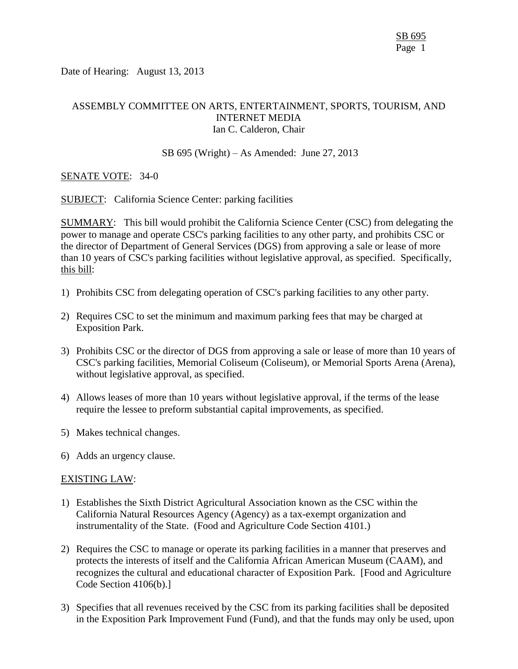Date of Hearing: August 13, 2013

# ASSEMBLY COMMITTEE ON ARTS, ENTERTAINMENT, SPORTS, TOURISM, AND INTERNET MEDIA Ian C. Calderon, Chair

## SB 695 (Wright) – As Amended: June 27, 2013

## SENATE VOTE: 34-0

SUBJECT: California Science Center: parking facilities

SUMMARY: This bill would prohibit the California Science Center (CSC) from delegating the power to manage and operate CSC's parking facilities to any other party, and prohibits CSC or the director of Department of General Services (DGS) from approving a sale or lease of more than 10 years of CSC's parking facilities without legislative approval, as specified. Specifically, this bill:

- 1) Prohibits CSC from delegating operation of CSC's parking facilities to any other party.
- 2) Requires CSC to set the minimum and maximum parking fees that may be charged at Exposition Park.
- 3) Prohibits CSC or the director of DGS from approving a sale or lease of more than 10 years of CSC's parking facilities, Memorial Coliseum (Coliseum), or Memorial Sports Arena (Arena), without legislative approval, as specified.
- 4) Allows leases of more than 10 years without legislative approval, if the terms of the lease require the lessee to preform substantial capital improvements, as specified.
- 5) Makes technical changes.
- 6) Adds an urgency clause.

### EXISTING LAW:

- 1) Establishes the Sixth District Agricultural Association known as the CSC within the California Natural Resources Agency (Agency) as a tax-exempt organization and instrumentality of the State. (Food and Agriculture Code Section 4101.)
- 2) Requires the CSC to manage or operate its parking facilities in a manner that preserves and protects the interests of itself and the California African American Museum (CAAM), and recognizes the cultural and educational character of Exposition Park. [Food and Agriculture Code Section 4106(b).]
- 3) Specifies that all revenues received by the CSC from its parking facilities shall be deposited in the Exposition Park Improvement Fund (Fund), and that the funds may only be used, upon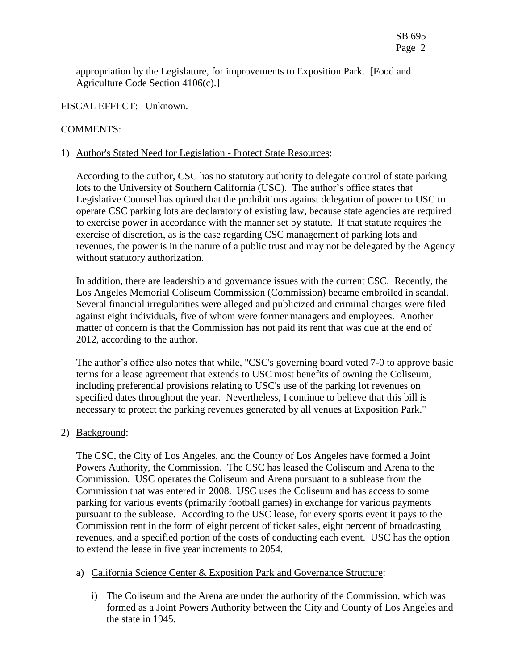appropriation by the Legislature, for improvements to Exposition Park. [Food and Agriculture Code Section 4106(c).]

FISCAL EFFECT: Unknown.

## COMMENTS:

### 1) Author's Stated Need for Legislation - Protect State Resources:

According to the author, CSC has no statutory authority to delegate control of state parking lots to the University of Southern California (USC). The author's office states that Legislative Counsel has opined that the prohibitions against delegation of power to USC to operate CSC parking lots are declaratory of existing law, because state agencies are required to exercise power in accordance with the manner set by statute. If that statute requires the exercise of discretion, as is the case regarding CSC management of parking lots and revenues, the power is in the nature of a public trust and may not be delegated by the Agency without statutory authorization.

In addition, there are leadership and governance issues with the current CSC. Recently, the Los Angeles Memorial Coliseum Commission (Commission) became embroiled in scandal. Several financial irregularities were alleged and publicized and criminal charges were filed against eight individuals, five of whom were former managers and employees. Another matter of concern is that the Commission has not paid its rent that was due at the end of 2012, according to the author.

The author's office also notes that while, "CSC's governing board voted 7-0 to approve basic terms for a lease agreement that extends to USC most benefits of owning the Coliseum, including preferential provisions relating to USC's use of the parking lot revenues on specified dates throughout the year. Nevertheless, I continue to believe that this bill is necessary to protect the parking revenues generated by all venues at Exposition Park."

### 2) Background:

The CSC, the City of Los Angeles, and the County of Los Angeles have formed a Joint Powers Authority, the Commission. The CSC has leased the Coliseum and Arena to the Commission. USC operates the Coliseum and Arena pursuant to a sublease from the Commission that was entered in 2008. USC uses the Coliseum and has access to some parking for various events (primarily football games) in exchange for various payments pursuant to the sublease. According to the USC lease, for every sports event it pays to the Commission rent in the form of eight percent of ticket sales, eight percent of broadcasting revenues, and a specified portion of the costs of conducting each event. USC has the option to extend the lease in five year increments to 2054.

- a) California Science Center & Exposition Park and Governance Structure:
	- i) The Coliseum and the Arena are under the authority of the Commission, which was formed as a Joint Powers Authority between the City and County of Los Angeles and the state in 1945.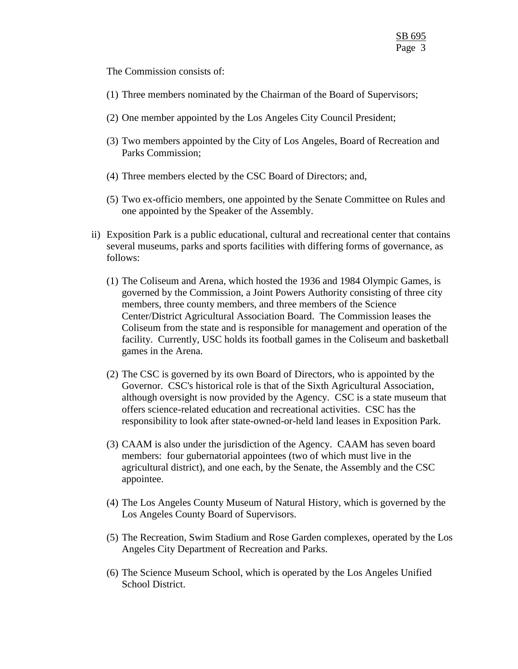The Commission consists of:

- (1) Three members nominated by the Chairman of the Board of Supervisors;
- (2) One member appointed by the Los Angeles City Council President;
- (3) Two members appointed by the City of Los Angeles, Board of Recreation and Parks Commission;
- (4) Three members elected by the CSC Board of Directors; and,
- (5) Two ex-officio members, one appointed by the Senate Committee on Rules and one appointed by the Speaker of the Assembly.
- ii) Exposition Park is a public educational, cultural and recreational center that contains several museums, parks and sports facilities with differing forms of governance, as follows:
	- (1) The Coliseum and Arena, which hosted the 1936 and 1984 Olympic Games, is governed by the Commission, a Joint Powers Authority consisting of three city members, three county members, and three members of the Science Center/District Agricultural Association Board. The Commission leases the Coliseum from the state and is responsible for management and operation of the facility. Currently, USC holds its football games in the Coliseum and basketball games in the Arena.
	- (2) The CSC is governed by its own Board of Directors, who is appointed by the Governor. CSC's historical role is that of the Sixth Agricultural Association, although oversight is now provided by the Agency. CSC is a state museum that offers science-related education and recreational activities. CSC has the responsibility to look after state-owned-or-held land leases in Exposition Park.
	- (3) CAAM is also under the jurisdiction of the Agency. CAAM has seven board members: four gubernatorial appointees (two of which must live in the agricultural district), and one each, by the Senate, the Assembly and the CSC appointee.
	- (4) The Los Angeles County Museum of Natural History, which is governed by the Los Angeles County Board of Supervisors.
	- (5) The Recreation, Swim Stadium and Rose Garden complexes, operated by the Los Angeles City Department of Recreation and Parks.
	- (6) The Science Museum School, which is operated by the Los Angeles Unified School District.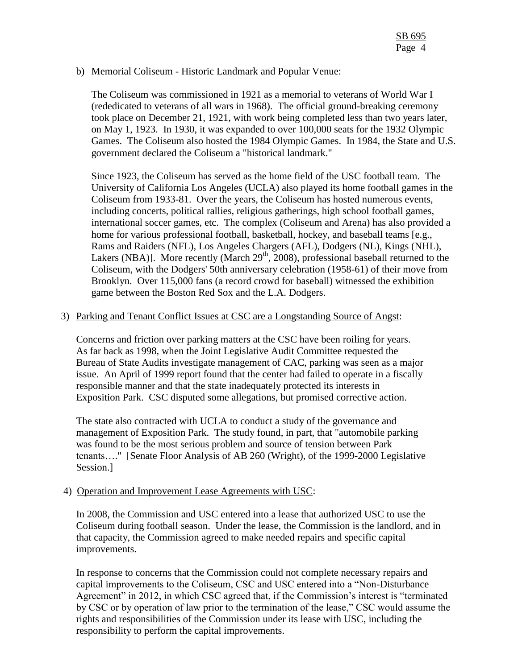## b) Memorial Coliseum - Historic Landmark and Popular Venue:

The Coliseum was commissioned in 1921 as a memorial to veterans of World War I (rededicated to veterans of all wars in 1968). The official ground-breaking ceremony took place on December 21, 1921, with work being completed less than two years later, on May 1, 1923. In 1930, it was expanded to over 100,000 seats for the 1932 Olympic Games. The Coliseum also hosted the 1984 Olympic Games. In 1984, the State and U.S. government declared the Coliseum a "historical landmark."

Since 1923, the Coliseum has served as the home field of the USC football team. The University of California Los Angeles (UCLA) also played its home football games in the Coliseum from 1933-81. Over the years, the Coliseum has hosted numerous events, including concerts, political rallies, religious gatherings, high school football games, international soccer games, etc. The complex (Coliseum and Arena) has also provided a home for various professional football, basketball, hockey, and baseball teams [e.g., Rams and Raiders (NFL), Los Angeles Chargers (AFL), Dodgers (NL), Kings (NHL), Lakers (NBA)]. More recently (March  $29<sup>th</sup>$ , 2008), professional baseball returned to the Coliseum, with the Dodgers' 50th anniversary celebration (1958-61) of their move from Brooklyn. Over 115,000 fans (a record crowd for baseball) witnessed the exhibition game between the Boston Red Sox and the L.A. Dodgers.

## 3) Parking and Tenant Conflict Issues at CSC are a Longstanding Source of Angst:

Concerns and friction over parking matters at the CSC have been roiling for years. As far back as 1998, when the Joint Legislative Audit Committee requested the Bureau of State Audits investigate management of CAC, parking was seen as a major issue. An April of 1999 report found that the center had failed to operate in a fiscally responsible manner and that the state inadequately protected its interests in Exposition Park. CSC disputed some allegations, but promised corrective action.

The state also contracted with UCLA to conduct a study of the governance and management of Exposition Park. The study found, in part, that "automobile parking was found to be the most serious problem and source of tension between Park tenants…." [Senate Floor Analysis of AB 260 (Wright), of the 1999-2000 Legislative Session.]

# 4) Operation and Improvement Lease Agreements with USC:

In 2008, the Commission and USC entered into a lease that authorized USC to use the Coliseum during football season. Under the lease, the Commission is the landlord, and in that capacity, the Commission agreed to make needed repairs and specific capital improvements.

In response to concerns that the Commission could not complete necessary repairs and capital improvements to the Coliseum, CSC and USC entered into a "Non-Disturbance Agreement" in 2012, in which CSC agreed that, if the Commission's interest is "terminated by CSC or by operation of law prior to the termination of the lease," CSC would assume the rights and responsibilities of the Commission under its lease with USC, including the responsibility to perform the capital improvements.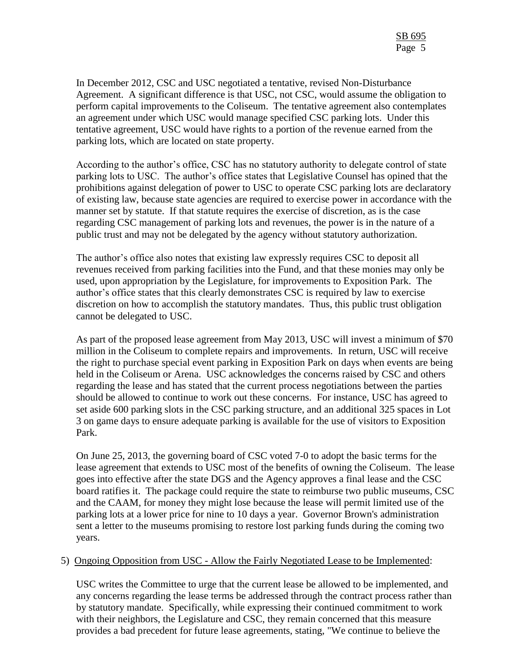In December 2012, CSC and USC negotiated a tentative, revised Non-Disturbance Agreement. A significant difference is that USC, not CSC, would assume the obligation to perform capital improvements to the Coliseum. The tentative agreement also contemplates an agreement under which USC would manage specified CSC parking lots. Under this tentative agreement, USC would have rights to a portion of the revenue earned from the parking lots, which are located on state property.

According to the author's office, CSC has no statutory authority to delegate control of state parking lots to USC. The author's office states that Legislative Counsel has opined that the prohibitions against delegation of power to USC to operate CSC parking lots are declaratory of existing law, because state agencies are required to exercise power in accordance with the manner set by statute. If that statute requires the exercise of discretion, as is the case regarding CSC management of parking lots and revenues, the power is in the nature of a public trust and may not be delegated by the agency without statutory authorization.

The author's office also notes that existing law expressly requires CSC to deposit all revenues received from parking facilities into the Fund, and that these monies may only be used, upon appropriation by the Legislature, for improvements to Exposition Park. The author's office states that this clearly demonstrates CSC is required by law to exercise discretion on how to accomplish the statutory mandates. Thus, this public trust obligation cannot be delegated to USC.

As part of the proposed lease agreement from May 2013, USC will invest a minimum of \$70 million in the Coliseum to complete repairs and improvements. In return, USC will receive the right to purchase special event parking in Exposition Park on days when events are being held in the Coliseum or Arena. USC acknowledges the concerns raised by CSC and others regarding the lease and has stated that the current process negotiations between the parties should be allowed to continue to work out these concerns. For instance, USC has agreed to set aside 600 parking slots in the CSC parking structure, and an additional 325 spaces in Lot 3 on game days to ensure adequate parking is available for the use of visitors to Exposition Park.

On June 25, 2013, the governing board of CSC voted 7-0 to adopt the basic terms for the lease agreement that extends to USC most of the benefits of owning the Coliseum. The lease goes into effective after the state DGS and the Agency approves a final lease and the CSC board ratifies it. The package could require the state to reimburse two public museums, CSC and the CAAM, for money they might lose because the lease will permit limited use of the parking lots at a lower price for nine to 10 days a year. Governor Brown's administration sent a letter to the museums promising to restore lost parking funds during the coming two years.

### 5) Ongoing Opposition from USC - Allow the Fairly Negotiated Lease to be Implemented:

USC writes the Committee to urge that the current lease be allowed to be implemented, and any concerns regarding the lease terms be addressed through the contract process rather than by statutory mandate. Specifically, while expressing their continued commitment to work with their neighbors, the Legislature and CSC, they remain concerned that this measure provides a bad precedent for future lease agreements, stating, "We continue to believe the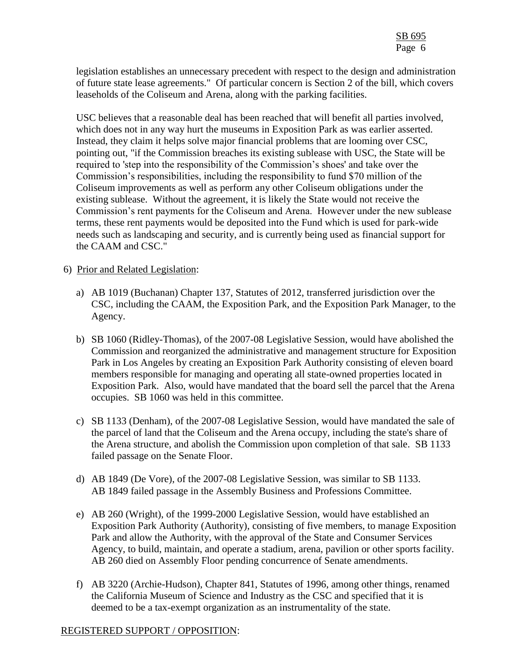legislation establishes an unnecessary precedent with respect to the design and administration of future state lease agreements." Of particular concern is Section 2 of the bill, which covers leaseholds of the Coliseum and Arena, along with the parking facilities.

USC believes that a reasonable deal has been reached that will benefit all parties involved, which does not in any way hurt the museums in Exposition Park as was earlier asserted. Instead, they claim it helps solve major financial problems that are looming over CSC, pointing out, "if the Commission breaches its existing sublease with USC, the State will be required to 'step into the responsibility of the Commission's shoes' and take over the Commission's responsibilities, including the responsibility to fund \$70 million of the Coliseum improvements as well as perform any other Coliseum obligations under the existing sublease. Without the agreement, it is likely the State would not receive the Commission's rent payments for the Coliseum and Arena. However under the new sublease terms, these rent payments would be deposited into the Fund which is used for park-wide needs such as landscaping and security, and is currently being used as financial support for the CAAM and CSC."

## 6) Prior and Related Legislation:

- a) AB 1019 (Buchanan) Chapter 137, Statutes of 2012, transferred jurisdiction over the CSC, including the CAAM, the Exposition Park, and the Exposition Park Manager, to the Agency.
- b) SB 1060 (Ridley-Thomas), of the 2007-08 Legislative Session, would have abolished the Commission and reorganized the administrative and management structure for Exposition Park in Los Angeles by creating an Exposition Park Authority consisting of eleven board members responsible for managing and operating all state-owned properties located in Exposition Park. Also, would have mandated that the board sell the parcel that the Arena occupies. SB 1060 was held in this committee.
- c) SB 1133 (Denham), of the 2007-08 Legislative Session, would have mandated the sale of the parcel of land that the Coliseum and the Arena occupy, including the state's share of the Arena structure, and abolish the Commission upon completion of that sale. SB 1133 failed passage on the Senate Floor.
- d) AB 1849 (De Vore), of the 2007-08 Legislative Session, was similar to SB 1133. AB 1849 failed passage in the Assembly Business and Professions Committee.
- e) AB 260 (Wright), of the 1999-2000 Legislative Session, would have established an Exposition Park Authority (Authority), consisting of five members, to manage Exposition Park and allow the Authority, with the approval of the State and Consumer Services Agency, to build, maintain, and operate a stadium, arena, pavilion or other sports facility. AB 260 died on Assembly Floor pending concurrence of Senate amendments.
- f) AB 3220 (Archie-Hudson), Chapter 841, Statutes of 1996, among other things, renamed the California Museum of Science and Industry as the CSC and specified that it is deemed to be a tax-exempt organization as an instrumentality of the state.

# REGISTERED SUPPORT / OPPOSITION: